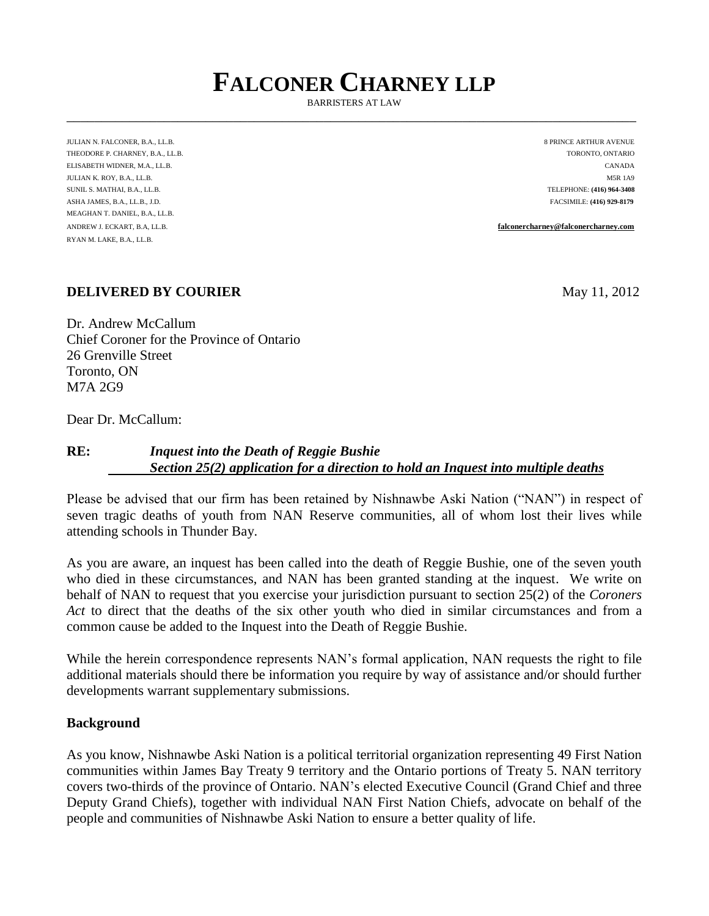# **FALCONER CHARNEY LLP**

BARRISTERS AT LAW \_\_\_\_\_\_\_\_\_\_\_\_\_\_\_\_\_\_\_\_\_\_\_\_\_\_\_\_\_\_\_\_\_\_\_\_\_\_\_\_\_\_\_\_\_\_\_\_\_\_\_\_\_\_\_\_\_\_\_\_\_\_\_\_\_\_\_\_\_\_\_\_\_\_\_\_\_\_\_\_\_\_

JULIAN N. FALCONER, B.A., LL.B. 8 PRINCE ARTHUR AVENUE THEODORE P. CHARNEY, B.A., LL.B. TORONTO, ONTARIO ELISABETH WIDNER, M.A., LL.B. CANADA JULIAN K. ROY, B.A., LL.B. M5R 1A9 SUNIL S. MATHAI, B.A., LL.B. TELEPHONE: **(416) 964-3408** ASHA JAMES, B.A., LL.B., J.D. FACSIMILE: **(416) 929-8179** MEAGHAN T. DANIEL, B.A., LL.B. RYAN M. LAKE, B.A., LL.B.

ANDREW J. ECKART, B.A, LL.B. **[falconercharney@falconercharney.com](mailto:falconercharney@falconercharney.com)**

#### **DELIVERED BY COURIER** May 11, 2012

Dr. Andrew McCallum Chief Coroner for the Province of Ontario 26 Grenville Street Toronto, ON M7A 2G9

Dear Dr. McCallum:

# **RE:** *Inquest into the Death of Reggie Bushie Section 25(2) application for a direction to hold an Inquest into multiple deaths*

Please be advised that our firm has been retained by Nishnawbe Aski Nation ("NAN") in respect of seven tragic deaths of youth from NAN Reserve communities, all of whom lost their lives while attending schools in Thunder Bay.

As you are aware, an inquest has been called into the death of Reggie Bushie, one of the seven youth who died in these circumstances, and NAN has been granted standing at the inquest. We write on behalf of NAN to request that you exercise your jurisdiction pursuant to section 25(2) of the *Coroners Act* to direct that the deaths of the six other youth who died in similar circumstances and from a common cause be added to the Inquest into the Death of Reggie Bushie.

While the herein correspondence represents NAN's formal application, NAN requests the right to file additional materials should there be information you require by way of assistance and/or should further developments warrant supplementary submissions.

#### **Background**

As you know, Nishnawbe Aski Nation is a political territorial organization representing 49 First Nation communities within James Bay Treaty 9 territory and the Ontario portions of Treaty 5. NAN territory covers two-thirds of the province of Ontario. NAN's elected Executive Council (Grand Chief and three Deputy Grand Chiefs), together with individual NAN First Nation Chiefs, advocate on behalf of the people and communities of Nishnawbe Aski Nation to ensure a better quality of life.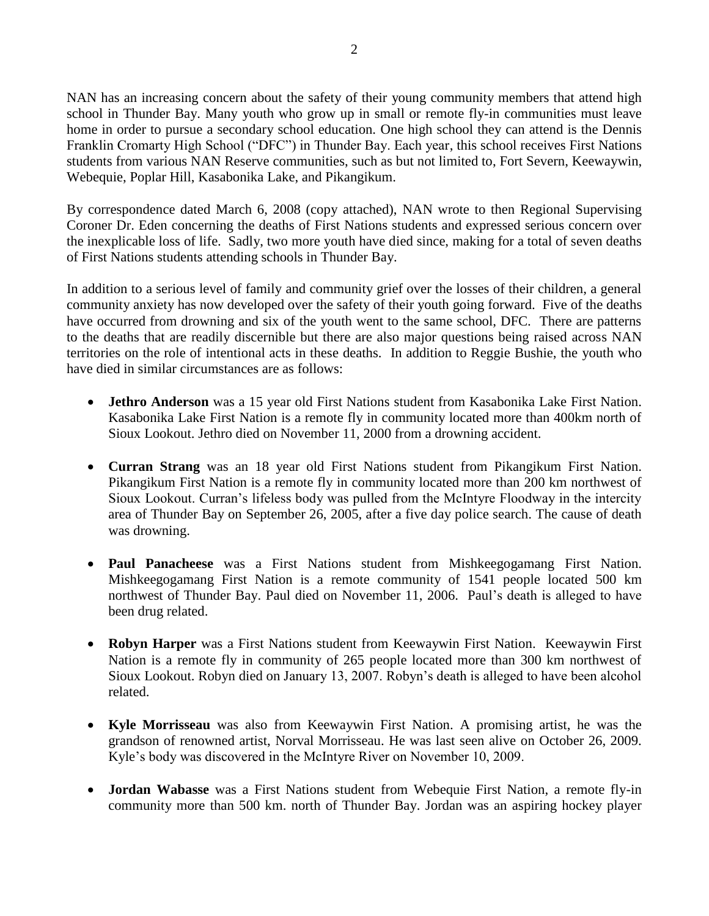NAN has an increasing concern about the safety of their young community members that attend high school in Thunder Bay. Many youth who grow up in small or remote fly-in communities must leave home in order to pursue a secondary school education. One high school they can attend is the Dennis Franklin Cromarty High School ("DFC") in Thunder Bay. Each year, this school receives First Nations students from various NAN Reserve communities, such as but not limited to, Fort Severn, Keewaywin, Webequie, Poplar Hill, Kasabonika Lake, and Pikangikum.

By correspondence dated March 6, 2008 (copy attached), NAN wrote to then Regional Supervising Coroner Dr. Eden concerning the deaths of First Nations students and expressed serious concern over the inexplicable loss of life. Sadly, two more youth have died since, making for a total of seven deaths of First Nations students attending schools in Thunder Bay.

In addition to a serious level of family and community grief over the losses of their children, a general community anxiety has now developed over the safety of their youth going forward. Five of the deaths have occurred from drowning and six of the youth went to the same school, DFC. There are patterns to the deaths that are readily discernible but there are also major questions being raised across NAN territories on the role of intentional acts in these deaths. In addition to Reggie Bushie, the youth who have died in similar circumstances are as follows:

- **Jethro Anderson** was a 15 year old First Nations student from Kasabonika Lake First Nation. Kasabonika Lake First Nation is a remote fly in community located more than 400km north of Sioux Lookout. Jethro died on November 11, 2000 from a drowning accident.
- **Curran Strang** was an 18 year old First Nations student from Pikangikum First Nation. Pikangikum First Nation is a remote fly in community located more than 200 km northwest of Sioux Lookout. Curran's lifeless body was pulled from the McIntyre Floodway in the intercity area of Thunder Bay on September 26, 2005, after a five day police search. The cause of death was drowning.
- **Paul Panacheese** was a First Nations student from Mishkeegogamang First Nation. Mishkeegogamang First Nation is a remote community of 1541 people located 500 km northwest of Thunder Bay. Paul died on November 11, 2006. Paul's death is alleged to have been drug related.
- **Robyn Harper** was a First Nations student from Keewaywin First Nation. Keewaywin First Nation is a remote fly in community of 265 people located more than 300 km northwest of Sioux Lookout. Robyn died on January 13, 2007. Robyn's death is alleged to have been alcohol related.
- **Kyle Morrisseau** was also from Keewaywin First Nation. A promising artist, he was the grandson of renowned artist, Norval Morrisseau. He was last seen alive on October 26, 2009. Kyle's body was discovered in the McIntyre River on November 10, 2009.
- **Jordan Wabasse** was a First Nations student from Webequie First Nation, a remote fly-in community more than 500 km. north of Thunder Bay. Jordan was an aspiring hockey player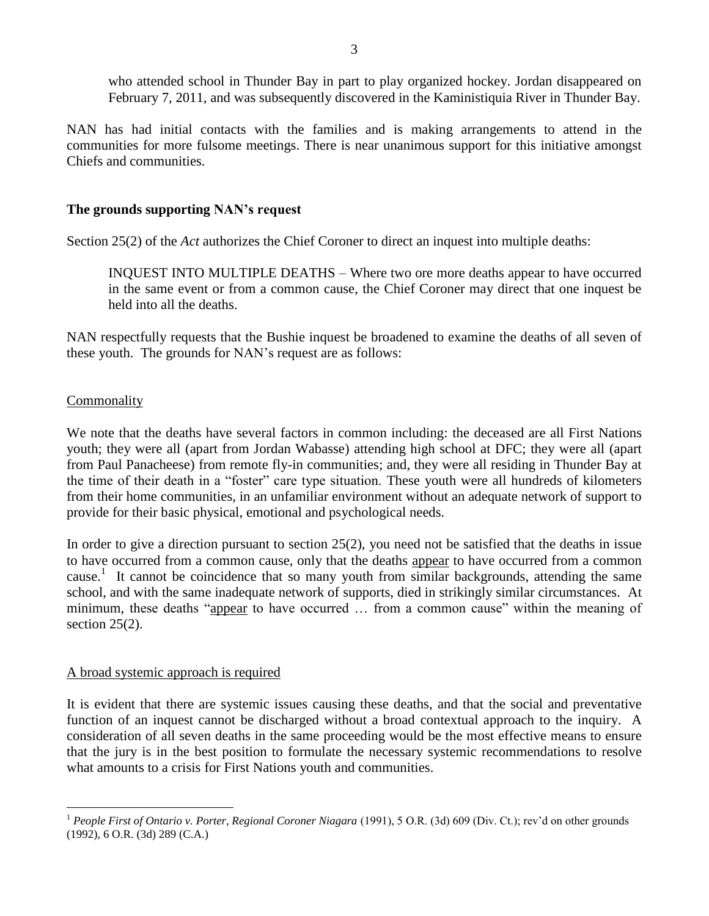who attended school in Thunder Bay in part to play organized hockey. Jordan disappeared on February 7, 2011, and was subsequently discovered in the Kaministiquia River in Thunder Bay.

NAN has had initial contacts with the families and is making arrangements to attend in the communities for more fulsome meetings. There is near unanimous support for this initiative amongst Chiefs and communities.

# **The grounds supporting NAN's request**

Section 25(2) of the *Act* authorizes the Chief Coroner to direct an inquest into multiple deaths:

INQUEST INTO MULTIPLE DEATHS – Where two ore more deaths appear to have occurred in the same event or from a common cause, the Chief Coroner may direct that one inquest be held into all the deaths.

NAN respectfully requests that the Bushie inquest be broadened to examine the deaths of all seven of these youth. The grounds for NAN's request are as follows:

## Commonality

We note that the deaths have several factors in common including: the deceased are all First Nations youth; they were all (apart from Jordan Wabasse) attending high school at DFC; they were all (apart from Paul Panacheese) from remote fly-in communities; and, they were all residing in Thunder Bay at the time of their death in a "foster" care type situation. These youth were all hundreds of kilometers from their home communities, in an unfamiliar environment without an adequate network of support to provide for their basic physical, emotional and psychological needs.

In order to give a direction pursuant to section  $25(2)$ , you need not be satisfied that the deaths in issue to have occurred from a common cause, only that the deaths appear to have occurred from a common cause.<sup>1</sup> It cannot be coincidence that so many youth from similar backgrounds, attending the same school, and with the same inadequate network of supports, died in strikingly similar circumstances. At minimum, these deaths "appear to have occurred … from a common cause" within the meaning of section  $25(2)$ .

## A broad systemic approach is required

It is evident that there are systemic issues causing these deaths, and that the social and preventative function of an inquest cannot be discharged without a broad contextual approach to the inquiry. A consideration of all seven deaths in the same proceeding would be the most effective means to ensure that the jury is in the best position to formulate the necessary systemic recommendations to resolve what amounts to a crisis for First Nations youth and communities.

 $\overline{a}$ <sup>1</sup> *People First of Ontario v. Porter, Regional Coroner Niagara* (1991), 5 O.R. (3d) 609 (Div. Ct.); rev'd on other grounds (1992), 6 O.R. (3d) 289 (C.A.)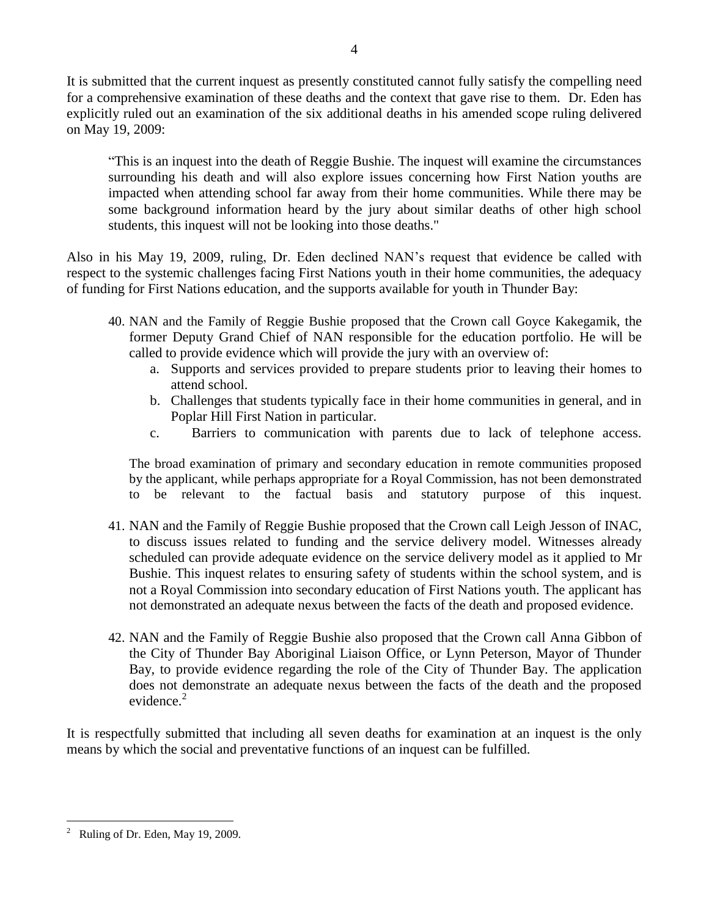It is submitted that the current inquest as presently constituted cannot fully satisfy the compelling need for a comprehensive examination of these deaths and the context that gave rise to them. Dr. Eden has explicitly ruled out an examination of the six additional deaths in his amended scope ruling delivered on May 19, 2009:

"This is an inquest into the death of Reggie Bushie. The inquest will examine the circumstances surrounding his death and will also explore issues concerning how First Nation youths are impacted when attending school far away from their home communities. While there may be some background information heard by the jury about similar deaths of other high school students, this inquest will not be looking into those deaths."

Also in his May 19, 2009, ruling, Dr. Eden declined NAN's request that evidence be called with respect to the systemic challenges facing First Nations youth in their home communities, the adequacy of funding for First Nations education, and the supports available for youth in Thunder Bay:

- 40. NAN and the Family of Reggie Bushie proposed that the Crown call Goyce Kakegamik, the former Deputy Grand Chief of NAN responsible for the education portfolio. He will be called to provide evidence which will provide the jury with an overview of:
	- a. Supports and services provided to prepare students prior to leaving their homes to attend school.
	- b. Challenges that students typically face in their home communities in general, and in Poplar Hill First Nation in particular.
	- c. Barriers to communication with parents due to lack of telephone access.

The broad examination of primary and secondary education in remote communities proposed by the applicant, while perhaps appropriate for a Royal Commission, has not been demonstrated to be relevant to the factual basis and statutory purpose of this inquest.

- 41. NAN and the Family of Reggie Bushie proposed that the Crown call Leigh Jesson of INAC, to discuss issues related to funding and the service delivery model. Witnesses already scheduled can provide adequate evidence on the service delivery model as it applied to Mr Bushie. This inquest relates to ensuring safety of students within the school system, and is not a Royal Commission into secondary education of First Nations youth. The applicant has not demonstrated an adequate nexus between the facts of the death and proposed evidence.
- 42. NAN and the Family of Reggie Bushie also proposed that the Crown call Anna Gibbon of the City of Thunder Bay Aboriginal Liaison Office, or Lynn Peterson, Mayor of Thunder Bay, to provide evidence regarding the role of the City of Thunder Bay. The application does not demonstrate an adequate nexus between the facts of the death and the proposed evidence.<sup>2</sup>

It is respectfully submitted that including all seven deaths for examination at an inquest is the only means by which the social and preventative functions of an inquest can be fulfilled.

 $\overline{a}$ 2 Ruling of Dr. Eden, May 19, 2009.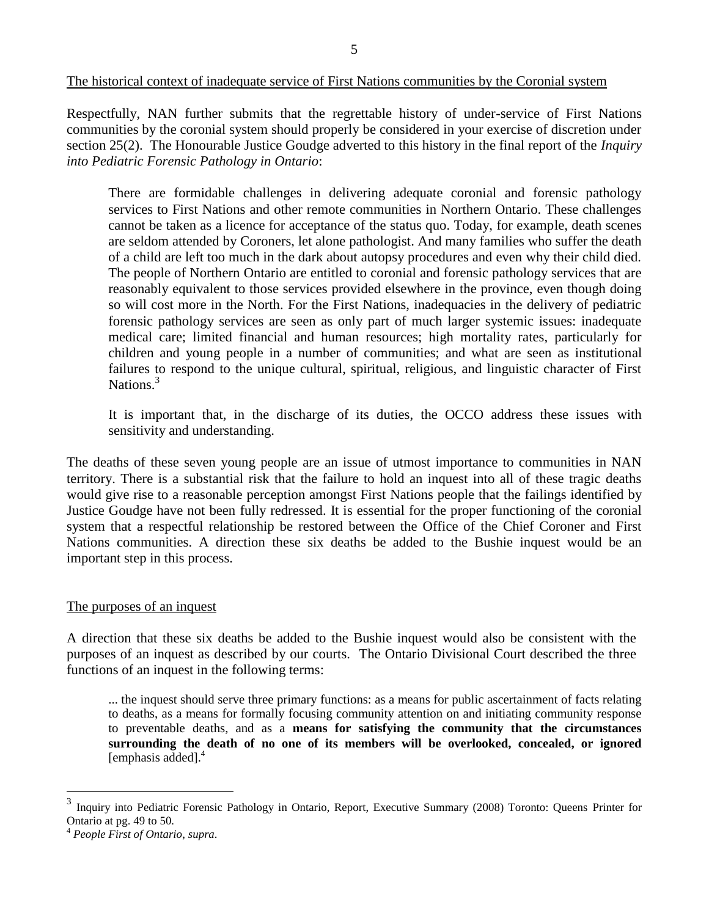#### The historical context of inadequate service of First Nations communities by the Coronial system

Respectfully, NAN further submits that the regrettable history of under-service of First Nations communities by the coronial system should properly be considered in your exercise of discretion under section 25(2). The Honourable Justice Goudge adverted to this history in the final report of the *Inquiry into Pediatric Forensic Pathology in Ontario*:

There are formidable challenges in delivering adequate coronial and forensic pathology services to First Nations and other remote communities in Northern Ontario. These challenges cannot be taken as a licence for acceptance of the status quo. Today, for example, death scenes are seldom attended by Coroners, let alone pathologist. And many families who suffer the death of a child are left too much in the dark about autopsy procedures and even why their child died. The people of Northern Ontario are entitled to coronial and forensic pathology services that are reasonably equivalent to those services provided elsewhere in the province, even though doing so will cost more in the North. For the First Nations, inadequacies in the delivery of pediatric forensic pathology services are seen as only part of much larger systemic issues: inadequate medical care; limited financial and human resources; high mortality rates, particularly for children and young people in a number of communities; and what are seen as institutional failures to respond to the unique cultural, spiritual, religious, and linguistic character of First Nations.<sup>3</sup>

It is important that, in the discharge of its duties, the OCCO address these issues with sensitivity and understanding.

The deaths of these seven young people are an issue of utmost importance to communities in NAN territory. There is a substantial risk that the failure to hold an inquest into all of these tragic deaths would give rise to a reasonable perception amongst First Nations people that the failings identified by Justice Goudge have not been fully redressed. It is essential for the proper functioning of the coronial system that a respectful relationship be restored between the Office of the Chief Coroner and First Nations communities. A direction these six deaths be added to the Bushie inquest would be an important step in this process.

#### The purposes of an inquest

A direction that these six deaths be added to the Bushie inquest would also be consistent with the purposes of an inquest as described by our courts. The Ontario Divisional Court described the three functions of an inquest in the following terms:

... the inquest should serve three primary functions: as a means for public ascertainment of facts relating to deaths, as a means for formally focusing community attention on and initiating community response to preventable deaths, and as a **means for satisfying the community that the circumstances surrounding the death of no one of its members will be overlooked, concealed, or ignored** [emphasis added]. 4

 $\overline{a}$ 

<sup>3</sup> Inquiry into Pediatric Forensic Pathology in Ontario, Report, Executive Summary (2008) Toronto: Queens Printer for Ontario at pg. 49 to 50.

<sup>4</sup> *People First of Ontario*, *supra*.